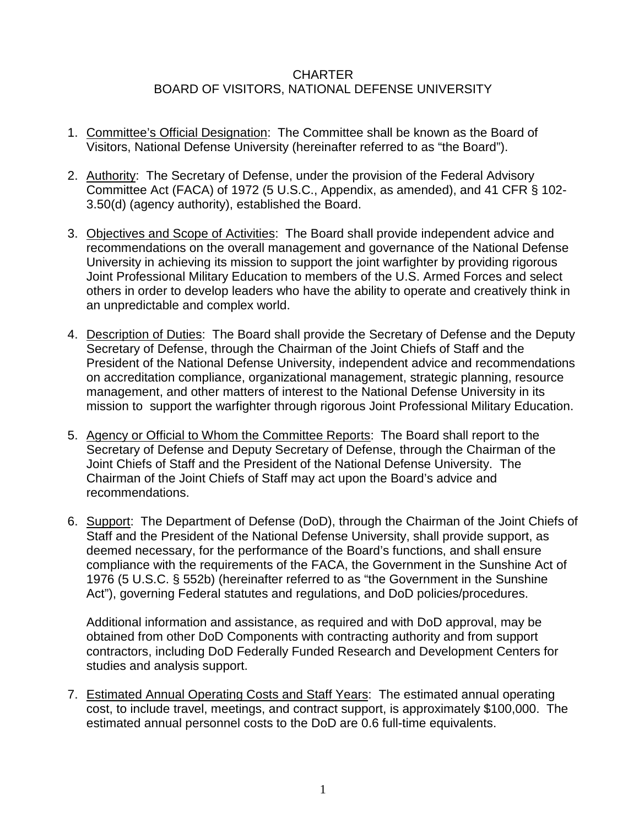## **CHARTER** BOARD OF VISITORS, NATIONAL DEFENSE UNIVERSITY

- 1. Committee's Official Designation: The Committee shall be known as the Board of Visitors, National Defense University (hereinafter referred to as "the Board").
- 2. Authority: The Secretary of Defense, under the provision of the Federal Advisory Committee Act (FACA) of 1972 (5 U.S.C., Appendix, as amended), and 41 CFR § 102- 3.50(d) (agency authority), established the Board.
- 3. Objectives and Scope of Activities: The Board shall provide independent advice and recommendations on the overall management and governance of the National Defense University in achieving its mission to support the joint warfighter by providing rigorous Joint Professional Military Education to members of the U.S. Armed Forces and select others in order to develop leaders who have the ability to operate and creatively think in an unpredictable and complex world.
- 4. Description of Duties: The Board shall provide the Secretary of Defense and the Deputy Secretary of Defense, through the Chairman of the Joint Chiefs of Staff and the President of the National Defense University, independent advice and recommendations on accreditation compliance, organizational management, strategic planning, resource management, and other matters of interest to the National Defense University in its mission to support the warfighter through rigorous Joint Professional Military Education.
- 5. Agency or Official to Whom the Committee Reports: The Board shall report to the Secretary of Defense and Deputy Secretary of Defense, through the Chairman of the Joint Chiefs of Staff and the President of the National Defense University. The Chairman of the Joint Chiefs of Staff may act upon the Board's advice and recommendations.
- 6. Support: The Department of Defense (DoD), through the Chairman of the Joint Chiefs of Staff and the President of the National Defense University, shall provide support, as deemed necessary, for the performance of the Board's functions, and shall ensure compliance with the requirements of the FACA, the Government in the Sunshine Act of 1976 (5 U.S.C. § 552b) (hereinafter referred to as "the Government in the Sunshine Act"), governing Federal statutes and regulations, and DoD policies/procedures.

Additional information and assistance, as required and with DoD approval, may be obtained from other DoD Components with contracting authority and from support contractors, including DoD Federally Funded Research and Development Centers for studies and analysis support.

7. Estimated Annual Operating Costs and Staff Years: The estimated annual operating cost, to include travel, meetings, and contract support, is approximately \$100,000. The estimated annual personnel costs to the DoD are 0.6 full-time equivalents.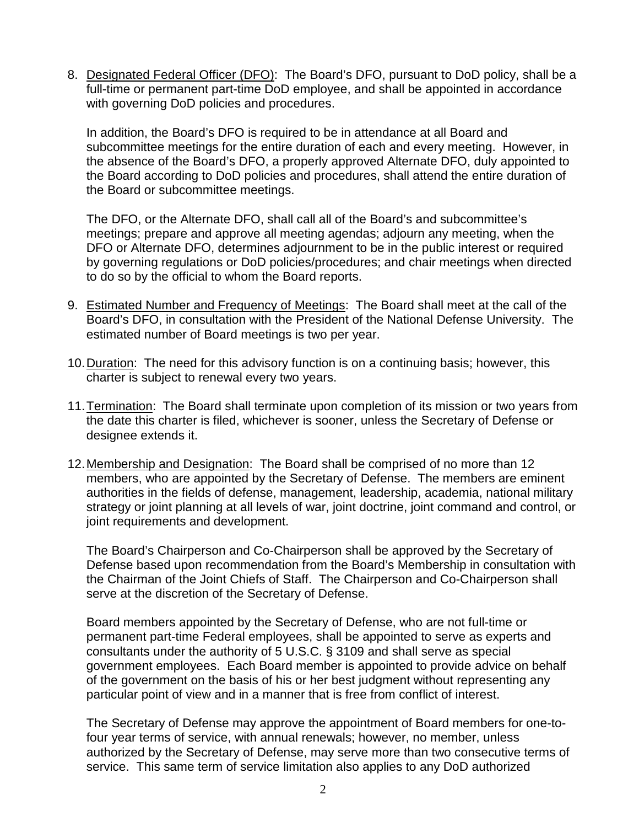8. Designated Federal Officer (DFO): The Board's DFO, pursuant to DoD policy, shall be a full-time or permanent part-time DoD employee, and shall be appointed in accordance with governing DoD policies and procedures.

In addition, the Board's DFO is required to be in attendance at all Board and subcommittee meetings for the entire duration of each and every meeting. However, in the absence of the Board's DFO, a properly approved Alternate DFO, duly appointed to the Board according to DoD policies and procedures, shall attend the entire duration of the Board or subcommittee meetings.

The DFO, or the Alternate DFO, shall call all of the Board's and subcommittee's meetings; prepare and approve all meeting agendas; adjourn any meeting, when the DFO or Alternate DFO, determines adjournment to be in the public interest or required by governing regulations or DoD policies/procedures; and chair meetings when directed to do so by the official to whom the Board reports.

- 9. Estimated Number and Frequency of Meetings: The Board shall meet at the call of the Board's DFO, in consultation with the President of the National Defense University. The estimated number of Board meetings is two per year.
- 10.Duration: The need for this advisory function is on a continuing basis; however, this charter is subject to renewal every two years.
- 11.Termination: The Board shall terminate upon completion of its mission or two years from the date this charter is filed, whichever is sooner, unless the Secretary of Defense or designee extends it.
- 12. Membership and Designation: The Board shall be comprised of no more than 12 members, who are appointed by the Secretary of Defense. The members are eminent authorities in the fields of defense, management, leadership, academia, national military strategy or joint planning at all levels of war, joint doctrine, joint command and control, or joint requirements and development.

The Board's Chairperson and Co-Chairperson shall be approved by the Secretary of Defense based upon recommendation from the Board's Membership in consultation with the Chairman of the Joint Chiefs of Staff. The Chairperson and Co-Chairperson shall serve at the discretion of the Secretary of Defense.

Board members appointed by the Secretary of Defense, who are not full-time or permanent part-time Federal employees, shall be appointed to serve as experts and consultants under the authority of 5 U.S.C. § 3109 and shall serve as special government employees. Each Board member is appointed to provide advice on behalf of the government on the basis of his or her best judgment without representing any particular point of view and in a manner that is free from conflict of interest.

The Secretary of Defense may approve the appointment of Board members for one-tofour year terms of service, with annual renewals; however, no member, unless authorized by the Secretary of Defense, may serve more than two consecutive terms of service. This same term of service limitation also applies to any DoD authorized